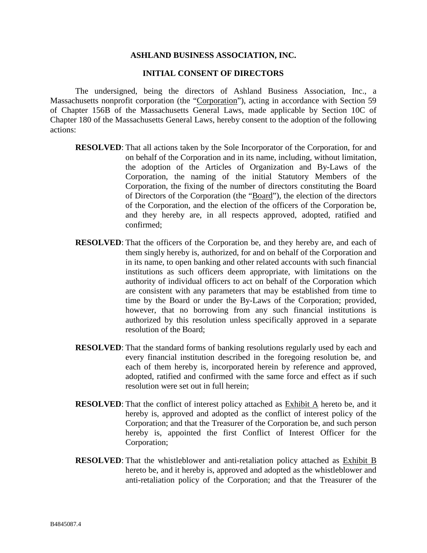#### **INITIAL CONSENT OF DIRECTORS**

The undersigned, being the directors of Ashland Business Association, Inc., a Massachusetts nonprofit corporation (the "Corporation"), acting in accordance with Section 59 of Chapter 156B of the Massachusetts General Laws, made applicable by Section 10C of Chapter 180 of the Massachusetts General Laws, hereby consent to the adoption of the following actions:

- **RESOLVED**: That all actions taken by the Sole Incorporator of the Corporation, for and on behalf of the Corporation and in its name, including, without limitation, the adoption of the Articles of Organization and By-Laws of the Corporation, the naming of the initial Statutory Members of the Corporation, the fixing of the number of directors constituting the Board of Directors of the Corporation (the "Board"), the election of the directors of the Corporation, and the election of the officers of the Corporation be, and they hereby are, in all respects approved, adopted, ratified and confirmed;
- **RESOLVED**: That the officers of the Corporation be, and they hereby are, and each of them singly hereby is, authorized, for and on behalf of the Corporation and in its name, to open banking and other related accounts with such financial institutions as such officers deem appropriate, with limitations on the authority of individual officers to act on behalf of the Corporation which are consistent with any parameters that may be established from time to time by the Board or under the By-Laws of the Corporation; provided, however, that no borrowing from any such financial institutions is authorized by this resolution unless specifically approved in a separate resolution of the Board;
- **RESOLVED:** That the standard forms of banking resolutions regularly used by each and every financial institution described in the foregoing resolution be, and each of them hereby is, incorporated herein by reference and approved, adopted, ratified and confirmed with the same force and effect as if such resolution were set out in full herein;
- **RESOLVED**: That the conflict of interest policy attached as Exhibit A hereto be, and it hereby is, approved and adopted as the conflict of interest policy of the Corporation; and that the Treasurer of the Corporation be, and such person hereby is, appointed the first Conflict of Interest Officer for the Corporation;
- **RESOLVED**: That the whistleblower and anti-retaliation policy attached as **Exhibit B** hereto be, and it hereby is, approved and adopted as the whistleblower and anti-retaliation policy of the Corporation; and that the Treasurer of the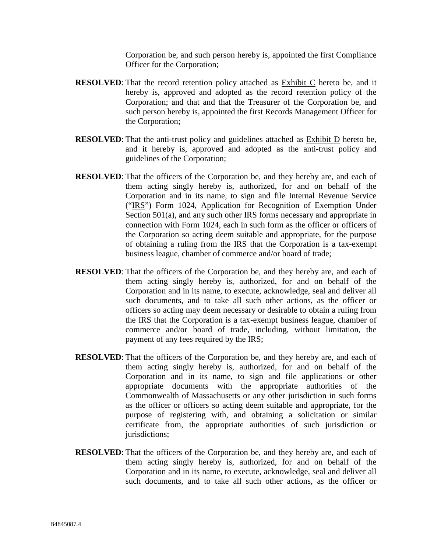Corporation be, and such person hereby is, appointed the first Compliance Officer for the Corporation;

- **RESOLVED**: That the record retention policy attached as Exhibit C hereto be, and it hereby is, approved and adopted as the record retention policy of the Corporation; and that and that the Treasurer of the Corporation be, and such person hereby is, appointed the first Records Management Officer for the Corporation;
- **RESOLVED**: That the anti-trust policy and guidelines attached as Exhibit D hereto be, and it hereby is, approved and adopted as the anti-trust policy and guidelines of the Corporation;
- **RESOLVED**: That the officers of the Corporation be, and they hereby are, and each of them acting singly hereby is, authorized, for and on behalf of the Corporation and in its name, to sign and file Internal Revenue Service ("IRS") Form 1024, Application for Recognition of Exemption Under Section 501(a), and any such other IRS forms necessary and appropriate in connection with Form 1024, each in such form as the officer or officers of the Corporation so acting deem suitable and appropriate, for the purpose of obtaining a ruling from the IRS that the Corporation is a tax-exempt business league, chamber of commerce and/or board of trade;
- **RESOLVED**: That the officers of the Corporation be, and they hereby are, and each of them acting singly hereby is, authorized, for and on behalf of the Corporation and in its name, to execute, acknowledge, seal and deliver all such documents, and to take all such other actions, as the officer or officers so acting may deem necessary or desirable to obtain a ruling from the IRS that the Corporation is a tax-exempt business league, chamber of commerce and/or board of trade, including, without limitation, the payment of any fees required by the IRS;
- **RESOLVED**: That the officers of the Corporation be, and they hereby are, and each of them acting singly hereby is, authorized, for and on behalf of the Corporation and in its name, to sign and file applications or other appropriate documents with the appropriate authorities of the Commonwealth of Massachusetts or any other jurisdiction in such forms as the officer or officers so acting deem suitable and appropriate, for the purpose of registering with, and obtaining a solicitation or similar certificate from, the appropriate authorities of such jurisdiction or jurisdictions;
- **RESOLVED**: That the officers of the Corporation be, and they hereby are, and each of them acting singly hereby is, authorized, for and on behalf of the Corporation and in its name, to execute, acknowledge, seal and deliver all such documents, and to take all such other actions, as the officer or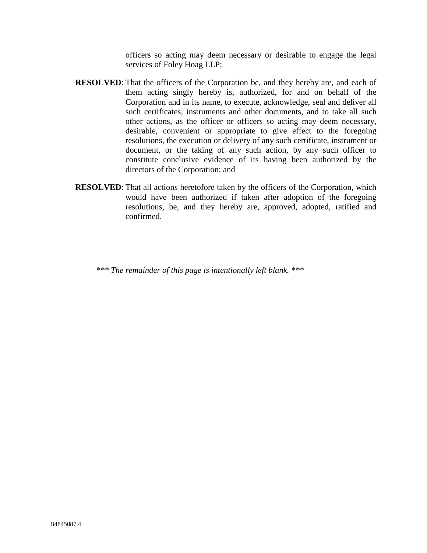officers so acting may deem necessary or desirable to engage the legal services of Foley Hoag LLP;

- **RESOLVED**: That the officers of the Corporation be, and they hereby are, and each of them acting singly hereby is, authorized, for and on behalf of the Corporation and in its name, to execute, acknowledge, seal and deliver all such certificates, instruments and other documents, and to take all such other actions, as the officer or officers so acting may deem necessary, desirable, convenient or appropriate to give effect to the foregoing resolutions, the execution or delivery of any such certificate, instrument or document, or the taking of any such action, by any such officer to constitute conclusive evidence of its having been authorized by the directors of the Corporation; and
- **RESOLVED**: That all actions heretofore taken by the officers of the Corporation, which would have been authorized if taken after adoption of the foregoing resolutions, be, and they hereby are, approved, adopted, ratified and confirmed.

 *\*\*\* The remainder of this page is intentionally left blank. \*\*\**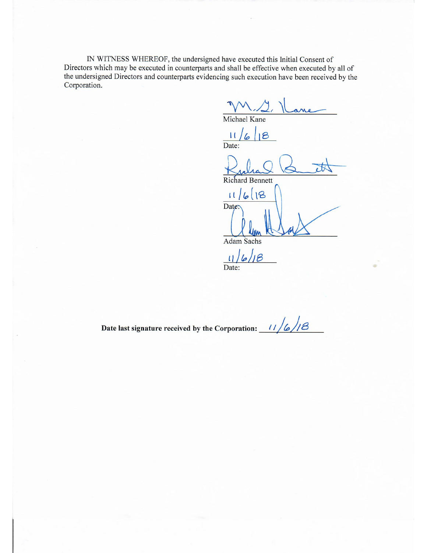IN WITNESS WHEREOF, the undersigned have executed this Initial Consent of Directors which may be executed in counterparts and shall be effective when executed by all of the undersigned Directors and counterparts evidencing such execution have been received by the Corporation.

Michael Kane

 $\mathbf{1}$  $\overline{6}$ Date:

**Richard Bennett** 

18

 $\lfloor \lfloor \frac{1}{2} \rfloor \rfloor$  $6|18$ Date:

**Adam Sachs** 

 $11/6/18$  $\overline{\text{Date}}$ :

 $11/6/18$ Date last signature received by the Corporation: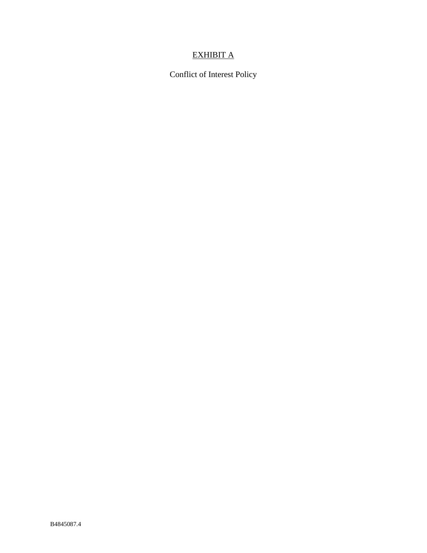# EXHIBIT A

Conflict of Interest Policy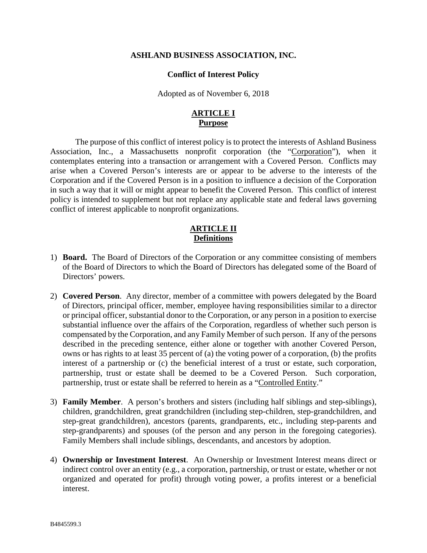#### **Conflict of Interest Policy**

Adopted as of November 6, 2018

## **ARTICLE I Purpose**

The purpose of this conflict of interest policy is to protect the interests of Ashland Business Association, Inc., a Massachusetts nonprofit corporation (the "Corporation"), when it contemplates entering into a transaction or arrangement with a Covered Person. Conflicts may arise when a Covered Person's interests are or appear to be adverse to the interests of the Corporation and if the Covered Person is in a position to influence a decision of the Corporation in such a way that it will or might appear to benefit the Covered Person. This conflict of interest policy is intended to supplement but not replace any applicable state and federal laws governing conflict of interest applicable to nonprofit organizations.

## **ARTICLE II Definitions**

- 1) **Board.** The Board of Directors of the Corporation or any committee consisting of members of the Board of Directors to which the Board of Directors has delegated some of the Board of Directors' powers.
- 2) **Covered Person**. Any director, member of a committee with powers delegated by the Board of Directors, principal officer, member, employee having responsibilities similar to a director or principal officer, substantial donor to the Corporation, or any person in a position to exercise substantial influence over the affairs of the Corporation, regardless of whether such person is compensated by the Corporation, and any Family Member of such person. If any of the persons described in the preceding sentence, either alone or together with another Covered Person, owns or has rights to at least 35 percent of (a) the voting power of a corporation, (b) the profits interest of a partnership or (c) the beneficial interest of a trust or estate, such corporation, partnership, trust or estate shall be deemed to be a Covered Person. Such corporation, partnership, trust or estate shall be referred to herein as a "Controlled Entity."
- 3) **Family Member**. A person's brothers and sisters (including half siblings and step-siblings), children, grandchildren, great grandchildren (including step-children, step-grandchildren, and step-great grandchildren), ancestors (parents, grandparents, etc., including step-parents and step-grandparents) and spouses (of the person and any person in the foregoing categories). Family Members shall include siblings, descendants, and ancestors by adoption.
- 4) **Ownership or Investment Interest**. An Ownership or Investment Interest means direct or indirect control over an entity (e.g., a corporation, partnership, or trust or estate, whether or not organized and operated for profit) through voting power, a profits interest or a beneficial interest.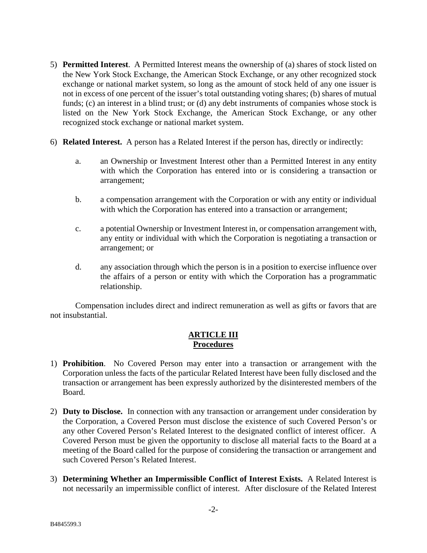- 5) **Permitted Interest**. A Permitted Interest means the ownership of (a) shares of stock listed on the New York Stock Exchange, the American Stock Exchange, or any other recognized stock exchange or national market system, so long as the amount of stock held of any one issuer is not in excess of one percent of the issuer's total outstanding voting shares; (b) shares of mutual funds; (c) an interest in a blind trust; or (d) any debt instruments of companies whose stock is listed on the New York Stock Exchange, the American Stock Exchange, or any other recognized stock exchange or national market system.
- 6) **Related Interest.** A person has a Related Interest if the person has, directly or indirectly:
	- a. an Ownership or Investment Interest other than a Permitted Interest in any entity with which the Corporation has entered into or is considering a transaction or arrangement;
	- b. a compensation arrangement with the Corporation or with any entity or individual with which the Corporation has entered into a transaction or arrangement;
	- c. a potential Ownership or Investment Interest in, or compensation arrangement with, any entity or individual with which the Corporation is negotiating a transaction or arrangement; or
	- d. any association through which the person is in a position to exercise influence over the affairs of a person or entity with which the Corporation has a programmatic relationship.

Compensation includes direct and indirect remuneration as well as gifts or favors that are not insubstantial.

# **ARTICLE III Procedures**

- 1) **Prohibition**. No Covered Person may enter into a transaction or arrangement with the Corporation unless the facts of the particular Related Interest have been fully disclosed and the transaction or arrangement has been expressly authorized by the disinterested members of the Board.
- 2) **Duty to Disclose.** In connection with any transaction or arrangement under consideration by the Corporation, a Covered Person must disclose the existence of such Covered Person's or any other Covered Person's Related Interest to the designated conflict of interest officer. A Covered Person must be given the opportunity to disclose all material facts to the Board at a meeting of the Board called for the purpose of considering the transaction or arrangement and such Covered Person's Related Interest.
- 3) **Determining Whether an Impermissible Conflict of Interest Exists.** A Related Interest is not necessarily an impermissible conflict of interest. After disclosure of the Related Interest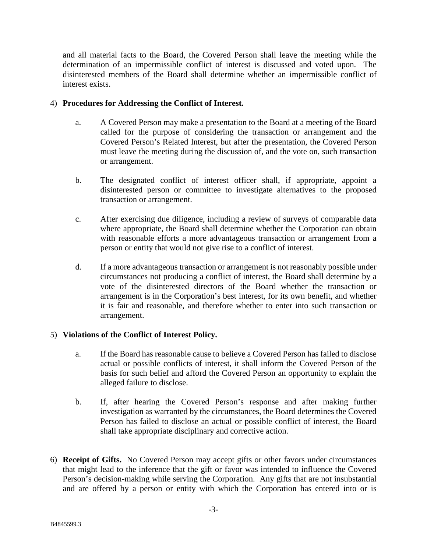and all material facts to the Board, the Covered Person shall leave the meeting while the determination of an impermissible conflict of interest is discussed and voted upon. The disinterested members of the Board shall determine whether an impermissible conflict of interest exists.

## 4) **Procedures for Addressing the Conflict of Interest.**

- a. A Covered Person may make a presentation to the Board at a meeting of the Board called for the purpose of considering the transaction or arrangement and the Covered Person's Related Interest, but after the presentation, the Covered Person must leave the meeting during the discussion of, and the vote on, such transaction or arrangement.
- b. The designated conflict of interest officer shall, if appropriate, appoint a disinterested person or committee to investigate alternatives to the proposed transaction or arrangement.
- c. After exercising due diligence, including a review of surveys of comparable data where appropriate, the Board shall determine whether the Corporation can obtain with reasonable efforts a more advantageous transaction or arrangement from a person or entity that would not give rise to a conflict of interest.
- d. If a more advantageous transaction or arrangement is not reasonably possible under circumstances not producing a conflict of interest, the Board shall determine by a vote of the disinterested directors of the Board whether the transaction or arrangement is in the Corporation's best interest, for its own benefit, and whether it is fair and reasonable, and therefore whether to enter into such transaction or arrangement.

# 5) **Violations of the Conflict of Interest Policy.**

- a. If the Board has reasonable cause to believe a Covered Person has failed to disclose actual or possible conflicts of interest, it shall inform the Covered Person of the basis for such belief and afford the Covered Person an opportunity to explain the alleged failure to disclose.
- b. If, after hearing the Covered Person's response and after making further investigation as warranted by the circumstances, the Board determines the Covered Person has failed to disclose an actual or possible conflict of interest, the Board shall take appropriate disciplinary and corrective action.
- 6) **Receipt of Gifts.** No Covered Person may accept gifts or other favors under circumstances that might lead to the inference that the gift or favor was intended to influence the Covered Person's decision-making while serving the Corporation. Any gifts that are not insubstantial and are offered by a person or entity with which the Corporation has entered into or is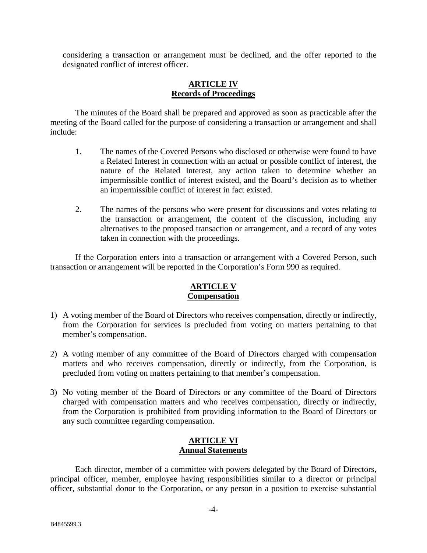considering a transaction or arrangement must be declined, and the offer reported to the designated conflict of interest officer.

### **ARTICLE IV Records of Proceedings**

The minutes of the Board shall be prepared and approved as soon as practicable after the meeting of the Board called for the purpose of considering a transaction or arrangement and shall include:

- 1. The names of the Covered Persons who disclosed or otherwise were found to have a Related Interest in connection with an actual or possible conflict of interest, the nature of the Related Interest, any action taken to determine whether an impermissible conflict of interest existed, and the Board's decision as to whether an impermissible conflict of interest in fact existed.
- 2. The names of the persons who were present for discussions and votes relating to the transaction or arrangement, the content of the discussion, including any alternatives to the proposed transaction or arrangement, and a record of any votes taken in connection with the proceedings.

If the Corporation enters into a transaction or arrangement with a Covered Person, such transaction or arrangement will be reported in the Corporation's Form 990 as required.

## **ARTICLE V Compensation**

- 1) A voting member of the Board of Directors who receives compensation, directly or indirectly, from the Corporation for services is precluded from voting on matters pertaining to that member's compensation.
- 2) A voting member of any committee of the Board of Directors charged with compensation matters and who receives compensation, directly or indirectly, from the Corporation, is precluded from voting on matters pertaining to that member's compensation.
- 3) No voting member of the Board of Directors or any committee of the Board of Directors charged with compensation matters and who receives compensation, directly or indirectly, from the Corporation is prohibited from providing information to the Board of Directors or any such committee regarding compensation.

## **ARTICLE VI Annual Statements**

Each director, member of a committee with powers delegated by the Board of Directors, principal officer, member, employee having responsibilities similar to a director or principal officer, substantial donor to the Corporation, or any person in a position to exercise substantial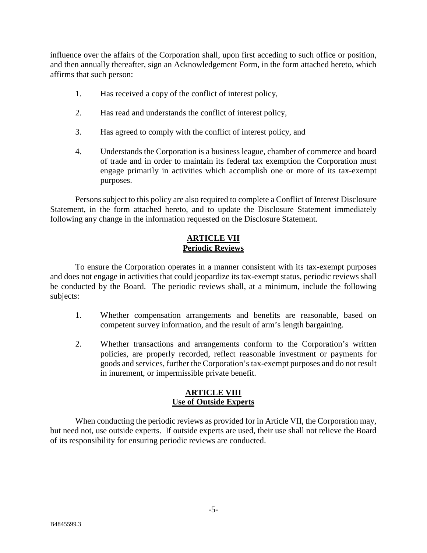influence over the affairs of the Corporation shall, upon first acceding to such office or position, and then annually thereafter, sign an Acknowledgement Form, in the form attached hereto, which affirms that such person:

- 1. Has received a copy of the conflict of interest policy,
- 2. Has read and understands the conflict of interest policy,
- 3. Has agreed to comply with the conflict of interest policy, and
- 4. Understands the Corporation is a business league, chamber of commerce and board of trade and in order to maintain its federal tax exemption the Corporation must engage primarily in activities which accomplish one or more of its tax-exempt purposes.

Persons subject to this policy are also required to complete a Conflict of Interest Disclosure Statement, in the form attached hereto, and to update the Disclosure Statement immediately following any change in the information requested on the Disclosure Statement.

# **ARTICLE VII Periodic Reviews**

To ensure the Corporation operates in a manner consistent with its tax-exempt purposes and does not engage in activities that could jeopardize its tax-exempt status, periodic reviews shall be conducted by the Board. The periodic reviews shall, at a minimum, include the following subjects:

- 1. Whether compensation arrangements and benefits are reasonable, based on competent survey information, and the result of arm's length bargaining.
- 2. Whether transactions and arrangements conform to the Corporation's written policies, are properly recorded, reflect reasonable investment or payments for goods and services, further the Corporation's tax-exempt purposes and do not result in inurement, or impermissible private benefit.

# **ARTICLE VIII Use of Outside Experts**

When conducting the periodic reviews as provided for in Article VII, the Corporation may, but need not, use outside experts. If outside experts are used, their use shall not relieve the Board of its responsibility for ensuring periodic reviews are conducted.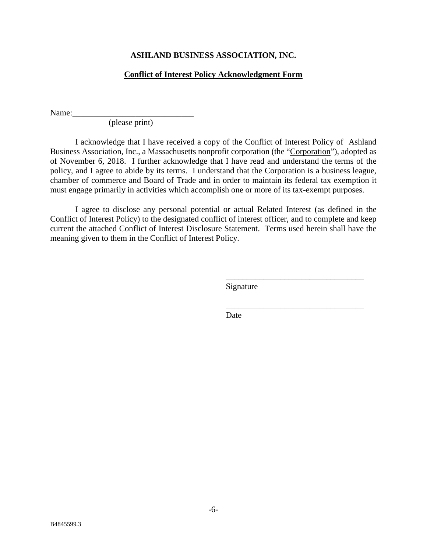## **Conflict of Interest Policy Acknowledgment Form**

Name:

(please print)

I acknowledge that I have received a copy of the Conflict of Interest Policy of Ashland Business Association, Inc., a Massachusetts nonprofit corporation (the "Corporation"), adopted as of November 6, 2018. I further acknowledge that I have read and understand the terms of the policy, and I agree to abide by its terms. I understand that the Corporation is a business league, chamber of commerce and Board of Trade and in order to maintain its federal tax exemption it must engage primarily in activities which accomplish one or more of its tax-exempt purposes.

I agree to disclose any personal potential or actual Related Interest (as defined in the Conflict of Interest Policy) to the designated conflict of interest officer, and to complete and keep current the attached Conflict of Interest Disclosure Statement. Terms used herein shall have the meaning given to them in the Conflict of Interest Policy.

Signature

\_\_\_\_\_\_\_\_\_\_\_\_\_\_\_\_\_\_\_\_\_\_\_\_\_\_\_\_\_\_\_\_\_

\_\_\_\_\_\_\_\_\_\_\_\_\_\_\_\_\_\_\_\_\_\_\_\_\_\_\_\_\_\_\_\_\_

Date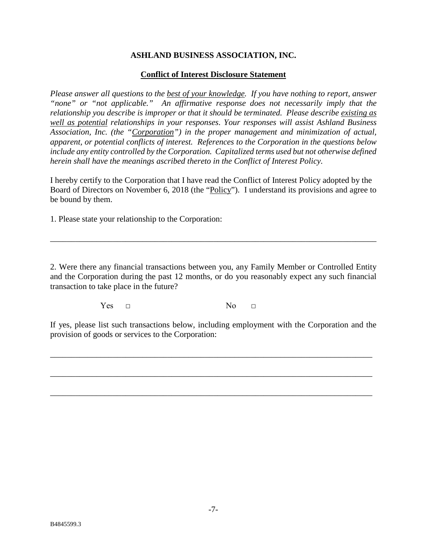#### **Conflict of Interest Disclosure Statement**

*Please answer all questions to the best of your knowledge. If you have nothing to report, answer "none" or "not applicable." An affirmative response does not necessarily imply that the relationship you describe is improper or that it should be terminated. Please describe existing as well as potential relationships in your responses. Your responses will assist Ashland Business Association, Inc. (the "Corporation") in the proper management and minimization of actual, apparent, or potential conflicts of interest. References to the Corporation in the questions below include any entity controlled by the Corporation. Capitalized terms used but not otherwise defined herein shall have the meanings ascribed thereto in the Conflict of Interest Policy*.

I hereby certify to the Corporation that I have read the Conflict of Interest Policy adopted by the Board of Directors on November 6, 2018 (the "Policy"). I understand its provisions and agree to be bound by them.

1. Please state your relationship to the Corporation:

2. Were there any financial transactions between you, any Family Member or Controlled Entity and the Corporation during the past 12 months, or do you reasonably expect any such financial transaction to take place in the future?

\_\_\_\_\_\_\_\_\_\_\_\_\_\_\_\_\_\_\_\_\_\_\_\_\_\_\_\_\_\_\_\_\_\_\_\_\_\_\_\_\_\_\_\_\_\_\_\_\_\_\_\_\_\_\_\_\_\_\_\_\_\_\_\_\_\_\_\_\_\_\_\_\_\_\_\_\_\_

 $Yes \t \t \t \t No \t \t \t \t No \t \t \t \t \t No \t \t \t \t \t \t No \t \t \t \t \t \t No \t \t \t \t \t \t \t No \t \t \t \t \t \t \t No \t \t \t \t \t \t \t \t \t No \t \t \t \t \t \t \t \t \t No \t \t \t \t \t \t \t \t No \t \t \t \t \t \t \t No \t$ 

If yes, please list such transactions below, including employment with the Corporation and the provision of goods or services to the Corporation:

\_\_\_\_\_\_\_\_\_\_\_\_\_\_\_\_\_\_\_\_\_\_\_\_\_\_\_\_\_\_\_\_\_\_\_\_\_\_\_\_\_\_\_\_\_\_\_\_\_\_\_\_\_\_\_\_\_\_\_\_\_\_\_\_\_\_\_\_\_\_\_\_\_\_\_\_\_

\_\_\_\_\_\_\_\_\_\_\_\_\_\_\_\_\_\_\_\_\_\_\_\_\_\_\_\_\_\_\_\_\_\_\_\_\_\_\_\_\_\_\_\_\_\_\_\_\_\_\_\_\_\_\_\_\_\_\_\_\_\_\_\_\_\_\_\_\_\_\_\_\_\_\_\_\_

\_\_\_\_\_\_\_\_\_\_\_\_\_\_\_\_\_\_\_\_\_\_\_\_\_\_\_\_\_\_\_\_\_\_\_\_\_\_\_\_\_\_\_\_\_\_\_\_\_\_\_\_\_\_\_\_\_\_\_\_\_\_\_\_\_\_\_\_\_\_\_\_\_\_\_\_\_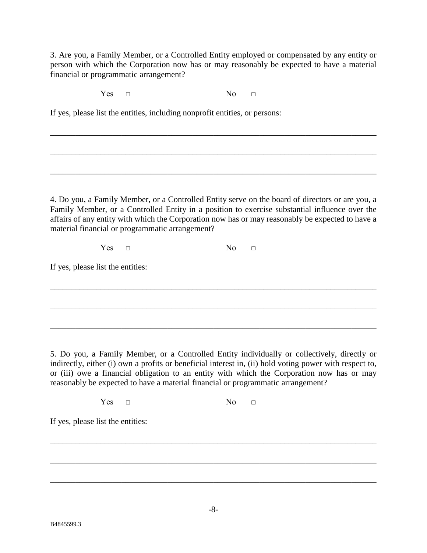3. Are you, a Family Member, or a Controlled Entity employed or compensated by any entity or person with which the Corporation now has or may reasonably be expected to have a material financial or programmatic arrangement?

\_\_\_\_\_\_\_\_\_\_\_\_\_\_\_\_\_\_\_\_\_\_\_\_\_\_\_\_\_\_\_\_\_\_\_\_\_\_\_\_\_\_\_\_\_\_\_\_\_\_\_\_\_\_\_\_\_\_\_\_\_\_\_\_\_\_\_\_\_\_\_\_\_\_\_\_\_\_

\_\_\_\_\_\_\_\_\_\_\_\_\_\_\_\_\_\_\_\_\_\_\_\_\_\_\_\_\_\_\_\_\_\_\_\_\_\_\_\_\_\_\_\_\_\_\_\_\_\_\_\_\_\_\_\_\_\_\_\_\_\_\_\_\_\_\_\_\_\_\_\_\_\_\_\_\_\_

\_\_\_\_\_\_\_\_\_\_\_\_\_\_\_\_\_\_\_\_\_\_\_\_\_\_\_\_\_\_\_\_\_\_\_\_\_\_\_\_\_\_\_\_\_\_\_\_\_\_\_\_\_\_\_\_\_\_\_\_\_\_\_\_\_\_\_\_\_\_\_\_\_\_\_\_\_\_

 $Yes \t \t \t \t No \t \t \t \t No \t \t \t \t \t No \t \t \t \t \t \t No \t \t \t \t \t \t No \t \t \t \t \t \t \t No \t \t \t \t \t \t \t No \t \t \t \t \t \t \t \t \t No \t \t \t \t \t \t \t \t \t No \t \t \t \t \t \t \t \t No \t \t \t \t \t \t \t No \t$ 

If yes, please list the entities, including nonprofit entities, or persons:

4. Do you, a Family Member, or a Controlled Entity serve on the board of directors or are you, a Family Member, or a Controlled Entity in a position to exercise substantial influence over the affairs of any entity with which the Corporation now has or may reasonably be expected to have a material financial or programmatic arrangement?

\_\_\_\_\_\_\_\_\_\_\_\_\_\_\_\_\_\_\_\_\_\_\_\_\_\_\_\_\_\_\_\_\_\_\_\_\_\_\_\_\_\_\_\_\_\_\_\_\_\_\_\_\_\_\_\_\_\_\_\_\_\_\_\_\_\_\_\_\_\_\_\_\_\_\_\_\_\_

\_\_\_\_\_\_\_\_\_\_\_\_\_\_\_\_\_\_\_\_\_\_\_\_\_\_\_\_\_\_\_\_\_\_\_\_\_\_\_\_\_\_\_\_\_\_\_\_\_\_\_\_\_\_\_\_\_\_\_\_\_\_\_\_\_\_\_\_\_\_\_\_\_\_\_\_\_\_

\_\_\_\_\_\_\_\_\_\_\_\_\_\_\_\_\_\_\_\_\_\_\_\_\_\_\_\_\_\_\_\_\_\_\_\_\_\_\_\_\_\_\_\_\_\_\_\_\_\_\_\_\_\_\_\_\_\_\_\_\_\_\_\_\_\_\_\_\_\_\_\_\_\_\_\_\_\_

 $Yes \t \t \t \t No \t \t \t \t No \t \t \t \t \t No \t \t \t \t \t \t No \t \t \t \t \t \t No \t \t \t \t \t \t \t No \t \t \t \t \t \t \t No \t \t \t \t \t \t \t \t \t No \t \t \t \t \t \t \t \t \t No \t \t \t \t \t \t \t \t No \t \t \t \t \t \t \t No \t$ 

If yes, please list the entities:

5. Do you, a Family Member, or a Controlled Entity individually or collectively, directly or indirectly, either (i) own a profits or beneficial interest in, (ii) hold voting power with respect to, or (iii) owe a financial obligation to an entity with which the Corporation now has or may reasonably be expected to have a material financial or programmatic arrangement?

 $Yes \t \t \t \t No \t \t \t \t No \t \t \t \t \t No \t \t \t \t \t \t No \t \t \t \t \t \t No \t \t \t \t \t \t \t No \t \t \t \t \t \t \t No \t \t \t \t \t \t \t \t \t No \t \t \t \t \t \t \t \t \t No \t \t \t \t \t \t \t \t No \t \t \t \t \t \t \t No \t$ 

If yes, please list the entities:

\_\_\_\_\_\_\_\_\_\_\_\_\_\_\_\_\_\_\_\_\_\_\_\_\_\_\_\_\_\_\_\_\_\_\_\_\_\_\_\_\_\_\_\_\_\_\_\_\_\_\_\_\_\_\_\_\_\_\_\_\_\_\_\_\_\_\_\_\_\_\_\_\_\_\_\_\_\_

\_\_\_\_\_\_\_\_\_\_\_\_\_\_\_\_\_\_\_\_\_\_\_\_\_\_\_\_\_\_\_\_\_\_\_\_\_\_\_\_\_\_\_\_\_\_\_\_\_\_\_\_\_\_\_\_\_\_\_\_\_\_\_\_\_\_\_\_\_\_\_\_\_\_\_\_\_\_

\_\_\_\_\_\_\_\_\_\_\_\_\_\_\_\_\_\_\_\_\_\_\_\_\_\_\_\_\_\_\_\_\_\_\_\_\_\_\_\_\_\_\_\_\_\_\_\_\_\_\_\_\_\_\_\_\_\_\_\_\_\_\_\_\_\_\_\_\_\_\_\_\_\_\_\_\_\_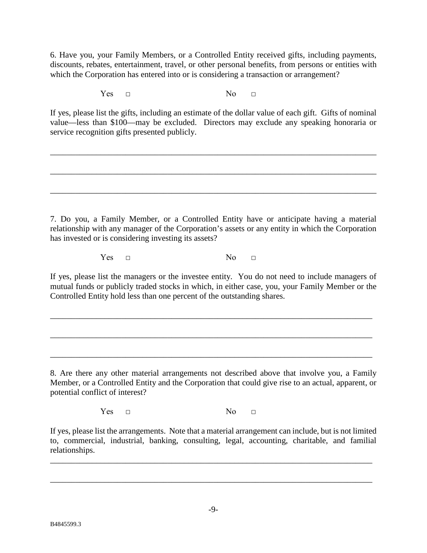6. Have you, your Family Members, or a Controlled Entity received gifts, including payments, discounts, rebates, entertainment, travel, or other personal benefits, from persons or entities with which the Corporation has entered into or is considering a transaction or arrangement?

 $Yes \t \t \t \t No \t \t \t \t No \t \t \t \t \t No \t \t \t \t \t \t No \t \t \t \t \t \t No \t \t \t \t \t \t \t No \t \t \t \t \t \t \t No \t \t \t \t \t \t \t \t \t No \t \t \t \t \t \t \t \t \t No \t \t \t \t \t \t \t \t No \t \t \t \t \t \t \t No \t$ 

If yes, please list the gifts, including an estimate of the dollar value of each gift. Gifts of nominal value—less than \$100—may be excluded. Directors may exclude any speaking honoraria or service recognition gifts presented publicly.

\_\_\_\_\_\_\_\_\_\_\_\_\_\_\_\_\_\_\_\_\_\_\_\_\_\_\_\_\_\_\_\_\_\_\_\_\_\_\_\_\_\_\_\_\_\_\_\_\_\_\_\_\_\_\_\_\_\_\_\_\_\_\_\_\_\_\_\_\_\_\_\_\_\_\_\_\_\_

\_\_\_\_\_\_\_\_\_\_\_\_\_\_\_\_\_\_\_\_\_\_\_\_\_\_\_\_\_\_\_\_\_\_\_\_\_\_\_\_\_\_\_\_\_\_\_\_\_\_\_\_\_\_\_\_\_\_\_\_\_\_\_\_\_\_\_\_\_\_\_\_\_\_\_\_\_\_

\_\_\_\_\_\_\_\_\_\_\_\_\_\_\_\_\_\_\_\_\_\_\_\_\_\_\_\_\_\_\_\_\_\_\_\_\_\_\_\_\_\_\_\_\_\_\_\_\_\_\_\_\_\_\_\_\_\_\_\_\_\_\_\_\_\_\_\_\_\_\_\_\_\_\_\_\_\_

7. Do you, a Family Member, or a Controlled Entity have or anticipate having a material relationship with any manager of the Corporation's assets or any entity in which the Corporation has invested or is considering investing its assets?

 $Yes \t \t \t \t No \t \t \t \t No \t \t \t \t \t No \t \t \t \t \t \t No \t \t \t \t \t \t No \t \t \t \t \t \t \t No \t \t \t \t \t \t \t No \t \t \t \t \t \t \t \t \t No \t \t \t \t \t \t \t \t \t No \t \t \t \t \t \t \t \t No \t \t \t \t \t \t \t No \t$ 

If yes, please list the managers or the investee entity. You do not need to include managers of mutual funds or publicly traded stocks in which, in either case, you, your Family Member or the Controlled Entity hold less than one percent of the outstanding shares.

\_\_\_\_\_\_\_\_\_\_\_\_\_\_\_\_\_\_\_\_\_\_\_\_\_\_\_\_\_\_\_\_\_\_\_\_\_\_\_\_\_\_\_\_\_\_\_\_\_\_\_\_\_\_\_\_\_\_\_\_\_\_\_\_\_\_\_\_\_\_\_\_\_\_\_\_\_

\_\_\_\_\_\_\_\_\_\_\_\_\_\_\_\_\_\_\_\_\_\_\_\_\_\_\_\_\_\_\_\_\_\_\_\_\_\_\_\_\_\_\_\_\_\_\_\_\_\_\_\_\_\_\_\_\_\_\_\_\_\_\_\_\_\_\_\_\_\_\_\_\_\_\_\_\_

\_\_\_\_\_\_\_\_\_\_\_\_\_\_\_\_\_\_\_\_\_\_\_\_\_\_\_\_\_\_\_\_\_\_\_\_\_\_\_\_\_\_\_\_\_\_\_\_\_\_\_\_\_\_\_\_\_\_\_\_\_\_\_\_\_\_\_\_\_\_\_\_\_\_\_\_\_

8. Are there any other material arrangements not described above that involve you, a Family Member, or a Controlled Entity and the Corporation that could give rise to an actual, apparent, or potential conflict of interest?

 $Yes \t \t \t \t No \t \t \t \t No \t \t \t \t \t No \t \t \t \t \t \t No \t \t \t \t \t \t No \t \t \t \t \t \t \t No \t \t \t \t \t \t \t No \t \t \t \t \t \t \t \t \t No \t \t \t \t \t \t \t \t \t No \t \t \t \t \t \t \t \t No \t \t \t \t \t \t \t No \t$ 

If yes, please list the arrangements. Note that a material arrangement can include, but is not limited to, commercial, industrial, banking, consulting, legal, accounting, charitable, and familial relationships.

\_\_\_\_\_\_\_\_\_\_\_\_\_\_\_\_\_\_\_\_\_\_\_\_\_\_\_\_\_\_\_\_\_\_\_\_\_\_\_\_\_\_\_\_\_\_\_\_\_\_\_\_\_\_\_\_\_\_\_\_\_\_\_\_\_\_\_\_\_\_\_\_\_\_\_\_\_

\_\_\_\_\_\_\_\_\_\_\_\_\_\_\_\_\_\_\_\_\_\_\_\_\_\_\_\_\_\_\_\_\_\_\_\_\_\_\_\_\_\_\_\_\_\_\_\_\_\_\_\_\_\_\_\_\_\_\_\_\_\_\_\_\_\_\_\_\_\_\_\_\_\_\_\_\_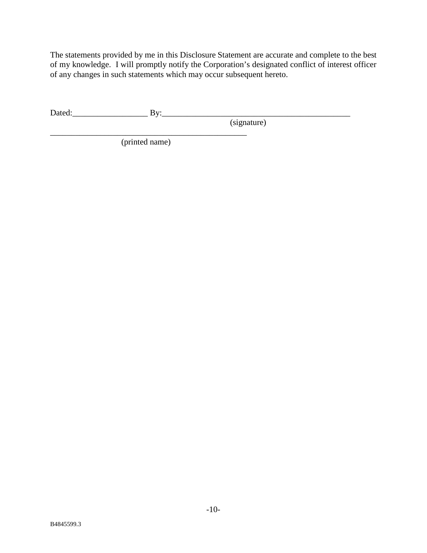The statements provided by me in this Disclosure Statement are accurate and complete to the best of my knowledge. I will promptly notify the Corporation's designated conflict of interest officer of any changes in such statements which may occur subsequent hereto.

Dated:\_\_\_\_\_\_\_\_\_\_\_\_\_\_\_\_\_\_ By:\_\_\_\_\_\_\_\_\_\_\_\_\_\_\_\_\_\_\_\_\_\_\_\_\_\_\_\_\_\_\_\_\_\_\_\_\_\_\_\_\_\_\_\_\_

(signature)

 $\overline{\phantom{a}}$  , and the set of the set of the set of the set of the set of the set of the set of the set of the set of the set of the set of the set of the set of the set of the set of the set of the set of the set of the s

(printed name)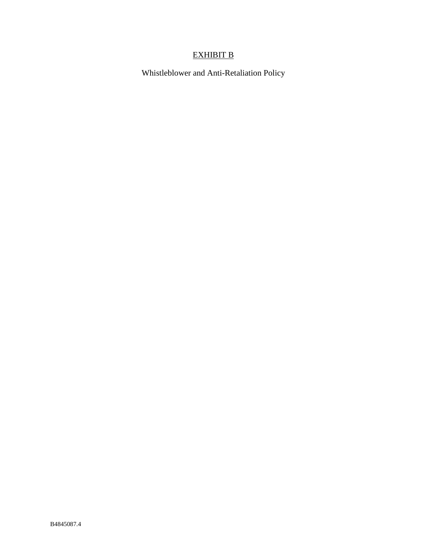# EXHIBIT B

Whistleblower and Anti-Retaliation Policy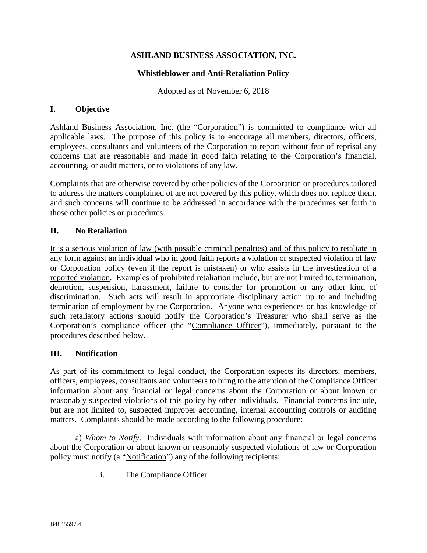## **Whistleblower and Anti-Retaliation Policy**

Adopted as of November 6, 2018

## **I. Objective**

Ashland Business Association, Inc. (the "Corporation") is committed to compliance with all applicable laws. The purpose of this policy is to encourage all members, directors, officers, employees, consultants and volunteers of the Corporation to report without fear of reprisal any concerns that are reasonable and made in good faith relating to the Corporation's financial, accounting, or audit matters, or to violations of any law.

Complaints that are otherwise covered by other policies of the Corporation or procedures tailored to address the matters complained of are not covered by this policy, which does not replace them, and such concerns will continue to be addressed in accordance with the procedures set forth in those other policies or procedures.

## **II. No Retaliation**

It is a serious violation of law (with possible criminal penalties) and of this policy to retaliate in any form against an individual who in good faith reports a violation or suspected violation of law or Corporation policy (even if the report is mistaken) or who assists in the investigation of a reported violation. Examples of prohibited retaliation include, but are not limited to, termination, demotion, suspension, harassment, failure to consider for promotion or any other kind of discrimination. Such acts will result in appropriate disciplinary action up to and including termination of employment by the Corporation. Anyone who experiences or has knowledge of such retaliatory actions should notify the Corporation's Treasurer who shall serve as the Corporation's compliance officer (the "Compliance Officer"), immediately, pursuant to the procedures described below.

#### **III. Notification**

As part of its commitment to legal conduct, the Corporation expects its directors, members, officers, employees, consultants and volunteers to bring to the attention of the Compliance Officer information about any financial or legal concerns about the Corporation or about known or reasonably suspected violations of this policy by other individuals. Financial concerns include, but are not limited to, suspected improper accounting, internal accounting controls or auditing matters. Complaints should be made according to the following procedure:

a) *Whom to Notify.* Individuals with information about any financial or legal concerns about the Corporation or about known or reasonably suspected violations of law or Corporation policy must notify (a "Notification") any of the following recipients:

i. The Compliance Officer.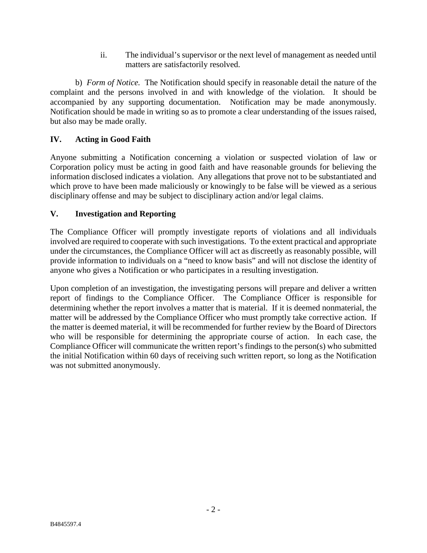ii. The individual's supervisor or the next level of management as needed until matters are satisfactorily resolved.

b) *Form of Notice.* The Notification should specify in reasonable detail the nature of the complaint and the persons involved in and with knowledge of the violation. It should be accompanied by any supporting documentation. Notification may be made anonymously. Notification should be made in writing so as to promote a clear understanding of the issues raised, but also may be made orally.

# **IV. Acting in Good Faith**

Anyone submitting a Notification concerning a violation or suspected violation of law or Corporation policy must be acting in good faith and have reasonable grounds for believing the information disclosed indicates a violation. Any allegations that prove not to be substantiated and which prove to have been made maliciously or knowingly to be false will be viewed as a serious disciplinary offense and may be subject to disciplinary action and/or legal claims.

# **V. Investigation and Reporting**

The Compliance Officer will promptly investigate reports of violations and all individuals involved are required to cooperate with such investigations. To the extent practical and appropriate under the circumstances, the Compliance Officer will act as discreetly as reasonably possible, will provide information to individuals on a "need to know basis" and will not disclose the identity of anyone who gives a Notification or who participates in a resulting investigation.

Upon completion of an investigation, the investigating persons will prepare and deliver a written report of findings to the Compliance Officer. The Compliance Officer is responsible for determining whether the report involves a matter that is material. If it is deemed nonmaterial, the matter will be addressed by the Compliance Officer who must promptly take corrective action. If the matter is deemed material, it will be recommended for further review by the Board of Directors who will be responsible for determining the appropriate course of action. In each case, the Compliance Officer will communicate the written report's findings to the person(s) who submitted the initial Notification within 60 days of receiving such written report, so long as the Notification was not submitted anonymously.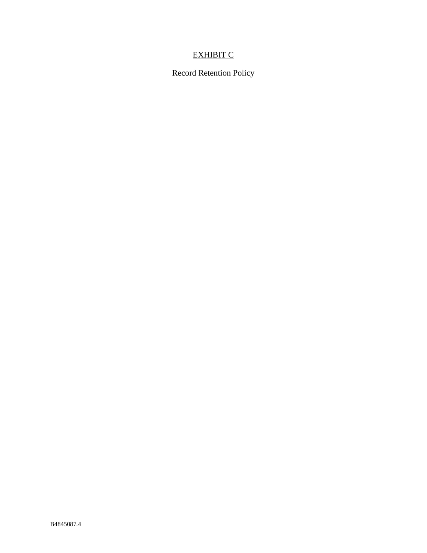# EXHIBIT C

Record Retention Policy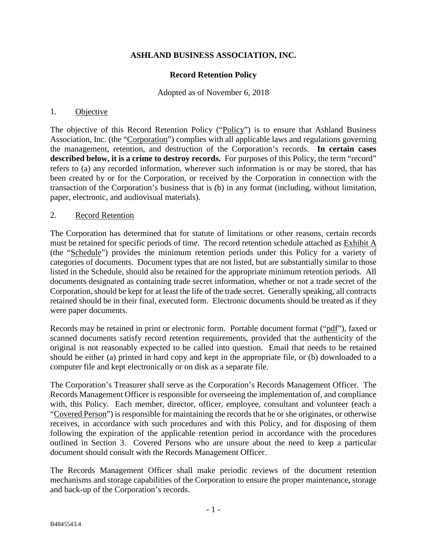## **Record Retention Policy**

#### Adopted as of November 6, 2018

#### 1. Objective

The objective of this Record Retention Policy ("Policy") is to ensure that Ashland Business Association, Inc. (the "Corporation") complies with all applicable laws and regulations governing the management, retention, and destruction of the Corporation's records. **In certain cases described below, it is a crime to destroy records.** For purposes of this Policy, the term "record" refers to (a) any recorded information, wherever such information is or may be stored, that has been created by or for the Corporation, or received by the Corporation in connection with the transaction of the Corporation's business that is (b) in any format (including, without limitation, paper, electronic, and audiovisual materials).

#### 2. Record Retention

The Corporation has determined that for statute of limitations or other reasons, certain records must be retained for specific periods of time. The record retention schedule attached as Exhibit A (the "Schedule") provides the minimum retention periods under this Policy for a variety of categories of documents. Document types that are not listed, but are substantially similar to those listed in the Schedule, should also be retained for the appropriate minimum retention periods. All documents designated as containing trade secret information, whether or not a trade secret of the Corporation, should be kept for at least the life of the trade secret. Generally speaking, all contracts retained should be in their final, executed form. Electronic documents should be treated as if they were paper documents.

Records may be retained in print or electronic form. Portable document format ("pdf"), faxed or scanned documents satisfy record retention requirements, provided that the authenticity of the original is not reasonably expected to be called into question. Email that needs to be retained should be either (a) printed in hard copy and kept in the appropriate file, or (b) downloaded to a computer file and kept electronically or on disk as a separate file.

The Corporation's Treasurer shall serve as the Corporation's Records Management Officer. The Records Management Officer is responsible for overseeing the implementation of, and compliance with, this Policy. Each member, director, officer, employee, consultant and volunteer (each a "Covered Person") is responsible for maintaining the records that he or she originates, or otherwise receives, in accordance with such procedures and with this Policy, and for disposing of them following the expiration of the applicable retention period in accordance with the procedures outlined in Section 3. Covered Persons who are unsure about the need to keep a particular document should consult with the Records Management Officer.

The Records Management Officer shall make periodic reviews of the document retention mechanisms and storage capabilities of the Corporation to ensure the proper maintenance, storage and back-up of the Corporation's records.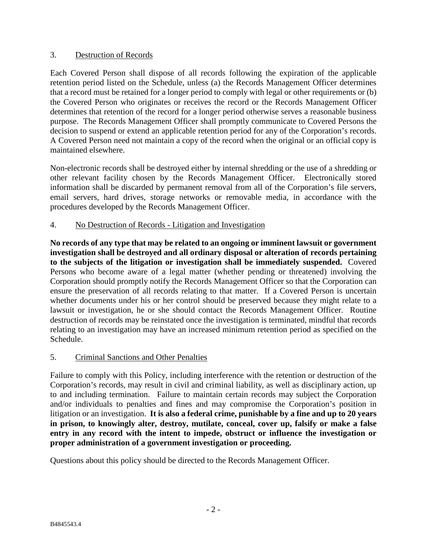## 3. Destruction of Records

Each Covered Person shall dispose of all records following the expiration of the applicable retention period listed on the Schedule, unless (a) the Records Management Officer determines that a record must be retained for a longer period to comply with legal or other requirements or (b) the Covered Person who originates or receives the record or the Records Management Officer determines that retention of the record for a longer period otherwise serves a reasonable business purpose. The Records Management Officer shall promptly communicate to Covered Persons the decision to suspend or extend an applicable retention period for any of the Corporation's records. A Covered Person need not maintain a copy of the record when the original or an official copy is maintained elsewhere.

Non-electronic records shall be destroyed either by internal shredding or the use of a shredding or other relevant facility chosen by the Records Management Officer. Electronically stored information shall be discarded by permanent removal from all of the Corporation's file servers, email servers, hard drives, storage networks or removable media, in accordance with the procedures developed by the Records Management Officer.

# 4. No Destruction of Records - Litigation and Investigation

**No records of any type that may be related to an ongoing or imminent lawsuit or government investigation shall be destroyed and all ordinary disposal or alteration of records pertaining to the subjects of the litigation or investigation shall be immediately suspended.** Covered Persons who become aware of a legal matter (whether pending or threatened) involving the Corporation should promptly notify the Records Management Officer so that the Corporation can ensure the preservation of all records relating to that matter. If a Covered Person is uncertain whether documents under his or her control should be preserved because they might relate to a lawsuit or investigation, he or she should contact the Records Management Officer. Routine destruction of records may be reinstated once the investigation is terminated, mindful that records relating to an investigation may have an increased minimum retention period as specified on the Schedule.

# 5. Criminal Sanctions and Other Penalties

Failure to comply with this Policy, including interference with the retention or destruction of the Corporation's records, may result in civil and criminal liability, as well as disciplinary action, up to and including termination. Failure to maintain certain records may subject the Corporation and/or individuals to penalties and fines and may compromise the Corporation's position in litigation or an investigation. **It is also a federal crime, punishable by a fine and up to 20 years in prison, to knowingly alter, destroy, mutilate, conceal, cover up, falsify or make a false entry in any record with the intent to impede, obstruct or influence the investigation or proper administration of a government investigation or proceeding.** 

Questions about this policy should be directed to the Records Management Officer.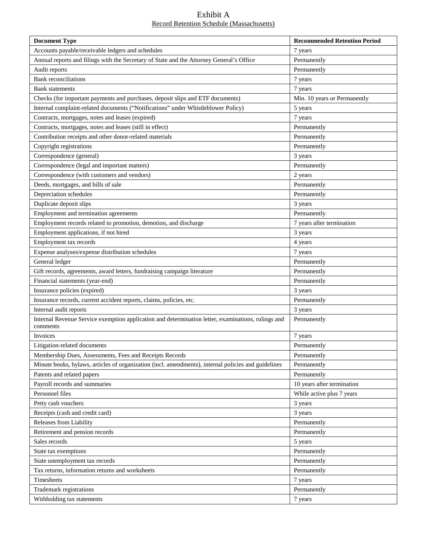#### Exhibit A Record Retention Schedule (Massachusetts)

| <b>Document Type</b>                                                                                           | <b>Recommended Retention Period</b> |
|----------------------------------------------------------------------------------------------------------------|-------------------------------------|
| Accounts payable/receivable ledgers and schedules                                                              | 7 years                             |
| Annual reports and filings with the Secretary of State and the Attorney General's Office                       | Permanently                         |
| Audit reports                                                                                                  | Permanently                         |
| <b>Bank</b> reconciliations                                                                                    | 7 years                             |
| <b>Bank</b> statements                                                                                         | 7 years                             |
| Checks (for important payments and purchases, deposit slips and ETF documents)                                 | Min. 10 years or Permanently        |
| Internal complaint-related documents ("Notifications" under Whistleblower Policy)                              | 5 years                             |
| Contracts, mortgages, notes and leases (expired)                                                               | 7 years                             |
| Contracts, mortgages, notes and leases (still in effect)                                                       | Permanently                         |
| Contribution receipts and other donor-related materials                                                        | Permanently                         |
| Copyright registrations                                                                                        | Permanently                         |
| Correspondence (general)                                                                                       | 3 years                             |
| Correspondence (legal and important matters)                                                                   | Permanently                         |
| Correspondence (with customers and vendors)                                                                    | 2 years                             |
| Deeds, mortgages, and bills of sale                                                                            | Permanently                         |
| Depreciation schedules                                                                                         | Permanently                         |
| Duplicate deposit slips                                                                                        | 3 years                             |
| Employment and termination agreements                                                                          | Permanently                         |
| Employment records related to promotion, demotion, and discharge                                               | 7 years after termination           |
| Employment applications, if not hired                                                                          | 3 years                             |
| Employment tax records                                                                                         | 4 years                             |
| Expense analyses/expense distribution schedules                                                                | 7 years                             |
| General ledger                                                                                                 | Permanently                         |
| Gift records, agreements, award letters, fundraising campaign literature                                       | Permanently                         |
| Financial statements (year-end)                                                                                | Permanently                         |
| Insurance policies (expired)                                                                                   | 3 years                             |
| Insurance records, current accident reports, claims, policies, etc.                                            | Permanently                         |
| Internal audit reports                                                                                         | 3 years                             |
| Internal Revenue Service exemption application and determination letter, examinations, rulings and<br>comments | Permanently                         |
| Invoices                                                                                                       | 7 years                             |
| Litigation-related documents                                                                                   | Permanently                         |
| Membership Dues, Assessments, Fees and Receipts Records                                                        | Permanently                         |
| Minute books, bylaws, articles of organization (incl. amendments), internal policies and guidelines            | Permanently                         |
| Patents and related papers                                                                                     | Permanently                         |
| Payroll records and summaries                                                                                  | 10 years after termination          |
| Personnel files                                                                                                | While active plus 7 years           |
| Petty cash vouchers                                                                                            | 3 years                             |
| Receipts (cash and credit card)                                                                                | 3 years                             |
| Releases from Liability                                                                                        | Permanently                         |
| Retirement and pension records                                                                                 | Permanently                         |
| Sales records                                                                                                  | 5 years                             |
| State tax exemptions                                                                                           | Permanently                         |
| State unemployment tax records                                                                                 | Permanently                         |
| Tax returns, information returns and worksheets                                                                | Permanently                         |
| Timesheets                                                                                                     | 7 years                             |
| Trademark registrations                                                                                        | Permanently                         |
| Withholding tax statements                                                                                     | 7 years                             |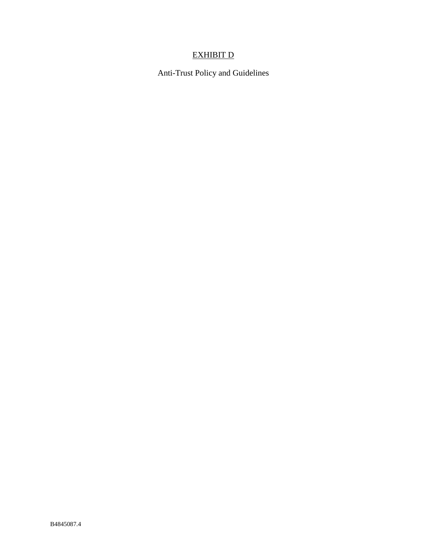# EXHIBIT D

Anti-Trust Policy and Guidelines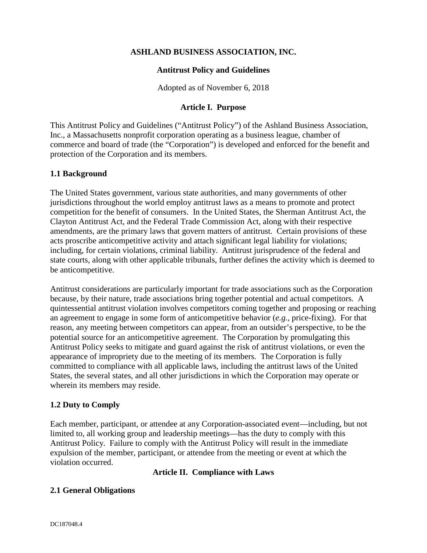### **Antitrust Policy and Guidelines**

Adopted as of November 6, 2018

## **Article I. Purpose**

This Antitrust Policy and Guidelines ("Antitrust Policy") of the Ashland Business Association, Inc., a Massachusetts nonprofit corporation operating as a business league, chamber of commerce and board of trade (the "Corporation") is developed and enforced for the benefit and protection of the Corporation and its members.

## **1.1 Background**

The United States government, various state authorities, and many governments of other jurisdictions throughout the world employ antitrust laws as a means to promote and protect competition for the benefit of consumers. In the United States, the Sherman Antitrust Act, the Clayton Antitrust Act, and the Federal Trade Commission Act, along with their respective amendments, are the primary laws that govern matters of antitrust. Certain provisions of these acts proscribe anticompetitive activity and attach significant legal liability for violations; including, for certain violations, criminal liability. Antitrust jurisprudence of the federal and state courts, along with other applicable tribunals, further defines the activity which is deemed to be anticompetitive.

Antitrust considerations are particularly important for trade associations such as the Corporation because, by their nature, trade associations bring together potential and actual competitors. A quintessential antitrust violation involves competitors coming together and proposing or reaching an agreement to engage in some form of anticompetitive behavior (*e.g.*, price-fixing). For that reason, any meeting between competitors can appear, from an outsider's perspective, to be the potential source for an anticompetitive agreement. The Corporation by promulgating this Antitrust Policy seeks to mitigate and guard against the risk of antitrust violations, or even the appearance of impropriety due to the meeting of its members. The Corporation is fully committed to compliance with all applicable laws, including the antitrust laws of the United States, the several states, and all other jurisdictions in which the Corporation may operate or wherein its members may reside.

# **1.2 Duty to Comply**

Each member, participant, or attendee at any Corporation-associated event—including, but not limited to, all working group and leadership meetings—has the duty to comply with this Antitrust Policy. Failure to comply with the Antitrust Policy will result in the immediate expulsion of the member, participant, or attendee from the meeting or event at which the violation occurred.

# **Article II. Compliance with Laws**

#### **2.1 General Obligations**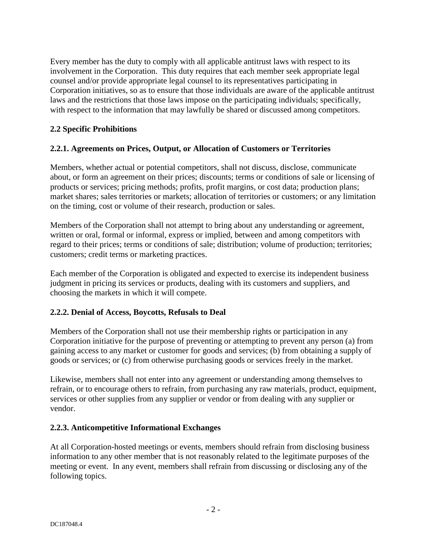Every member has the duty to comply with all applicable antitrust laws with respect to its involvement in the Corporation. This duty requires that each member seek appropriate legal counsel and/or provide appropriate legal counsel to its representatives participating in Corporation initiatives, so as to ensure that those individuals are aware of the applicable antitrust laws and the restrictions that those laws impose on the participating individuals; specifically, with respect to the information that may lawfully be shared or discussed among competitors.

# **2.2 Specific Prohibitions**

# **2.2.1. Agreements on Prices, Output, or Allocation of Customers or Territories**

Members, whether actual or potential competitors, shall not discuss, disclose, communicate about, or form an agreement on their prices; discounts; terms or conditions of sale or licensing of products or services; pricing methods; profits, profit margins, or cost data; production plans; market shares; sales territories or markets; allocation of territories or customers; or any limitation on the timing, cost or volume of their research, production or sales.

Members of the Corporation shall not attempt to bring about any understanding or agreement, written or oral, formal or informal, express or implied, between and among competitors with regard to their prices; terms or conditions of sale; distribution; volume of production; territories; customers; credit terms or marketing practices.

Each member of the Corporation is obligated and expected to exercise its independent business judgment in pricing its services or products, dealing with its customers and suppliers, and choosing the markets in which it will compete.

# **2.2.2. Denial of Access, Boycotts, Refusals to Deal**

Members of the Corporation shall not use their membership rights or participation in any Corporation initiative for the purpose of preventing or attempting to prevent any person (a) from gaining access to any market or customer for goods and services; (b) from obtaining a supply of goods or services; or (c) from otherwise purchasing goods or services freely in the market.

Likewise, members shall not enter into any agreement or understanding among themselves to refrain, or to encourage others to refrain, from purchasing any raw materials, product, equipment, services or other supplies from any supplier or vendor or from dealing with any supplier or vendor.

# **2.2.3. Anticompetitive Informational Exchanges**

At all Corporation-hosted meetings or events, members should refrain from disclosing business information to any other member that is not reasonably related to the legitimate purposes of the meeting or event. In any event, members shall refrain from discussing or disclosing any of the following topics.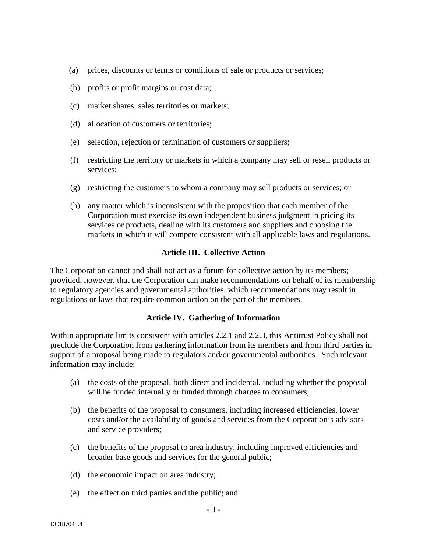- (a) prices, discounts or terms or conditions of sale or products or services;
- (b) profits or profit margins or cost data;
- (c) market shares, sales territories or markets;
- (d) allocation of customers or territories;
- (e) selection, rejection or termination of customers or suppliers;
- (f) restricting the territory or markets in which a company may sell or resell products or services;
- (g) restricting the customers to whom a company may sell products or services; or
- (h) any matter which is inconsistent with the proposition that each member of the Corporation must exercise its own independent business judgment in pricing its services or products, dealing with its customers and suppliers and choosing the markets in which it will compete consistent with all applicable laws and regulations.

## **Article III. Collective Action**

The Corporation cannot and shall not act as a forum for collective action by its members; provided, however, that the Corporation can make recommendations on behalf of its membership to regulatory agencies and governmental authorities, which recommendations may result in regulations or laws that require common action on the part of the members.

#### **Article IV. Gathering of Information**

Within appropriate limits consistent with articles 2.2.1 and 2.2.3, this Antitrust Policy shall not preclude the Corporation from gathering information from its members and from third parties in support of a proposal being made to regulators and/or governmental authorities. Such relevant information may include:

- (a) the costs of the proposal, both direct and incidental, including whether the proposal will be funded internally or funded through charges to consumers;
- (b) the benefits of the proposal to consumers, including increased efficiencies, lower costs and/or the availability of goods and services from the Corporation's advisors and service providers;
- (c) the benefits of the proposal to area industry, including improved efficiencies and broader base goods and services for the general public;
- (d) the economic impact on area industry;
- (e) the effect on third parties and the public; and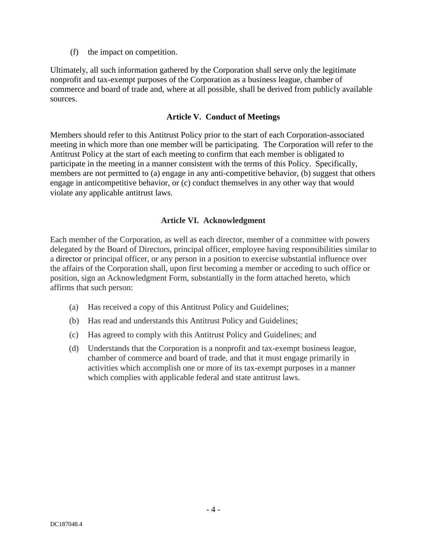(f) the impact on competition.

Ultimately, all such information gathered by the Corporation shall serve only the legitimate nonprofit and tax-exempt purposes of the Corporation as a business league, chamber of commerce and board of trade and, where at all possible, shall be derived from publicly available sources.

### **Article V. Conduct of Meetings**

Members should refer to this Antitrust Policy prior to the start of each Corporation-associated meeting in which more than one member will be participating. The Corporation will refer to the Antitrust Policy at the start of each meeting to confirm that each member is obligated to participate in the meeting in a manner consistent with the terms of this Policy. Specifically, members are not permitted to (a) engage in any anti-competitive behavior, (b) suggest that others engage in anticompetitive behavior, or (c) conduct themselves in any other way that would violate any applicable antitrust laws.

## **Article VI. Acknowledgment**

Each member of the Corporation, as well as each director, member of a committee with powers delegated by the Board of Directors, principal officer, employee having responsibilities similar to a director or principal officer, or any person in a position to exercise substantial influence over the affairs of the Corporation shall, upon first becoming a member or acceding to such office or position, sign an Acknowledgment Form, substantially in the form attached hereto, which affirms that such person:

- (a) Has received a copy of this Antitrust Policy and Guidelines;
- (b) Has read and understands this Antitrust Policy and Guidelines;
- (c) Has agreed to comply with this Antitrust Policy and Guidelines; and
- (d) Understands that the Corporation is a nonprofit and tax-exempt business league, chamber of commerce and board of trade, and that it must engage primarily in activities which accomplish one or more of its tax-exempt purposes in a manner which complies with applicable federal and state antitrust laws.